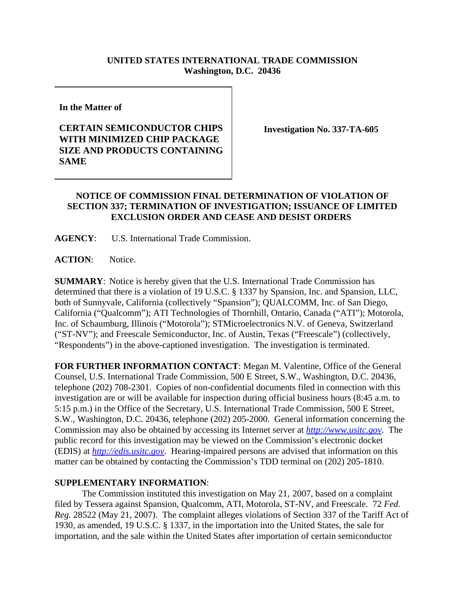## **UNITED STATES INTERNATIONAL TRADE COMMISSION Washington, D.C. 20436**

**In the Matter of** 

## **CERTAIN SEMICONDUCTOR CHIPS WITH MINIMIZED CHIP PACKAGE SIZE AND PRODUCTS CONTAINING SAME**

**Investigation No. 337-TA-605**

## **NOTICE OF COMMISSION FINAL DETERMINATION OF VIOLATION OF SECTION 337; TERMINATION OF INVESTIGATION; ISSUANCE OF LIMITED EXCLUSION ORDER AND CEASE AND DESIST ORDERS**

**AGENCY**: U.S. International Trade Commission.

**ACTION**: Notice.

**SUMMARY**: Notice is hereby given that the U.S. International Trade Commission has determined that there is a violation of 19 U.S.C. § 1337 by Spansion, Inc. and Spansion, LLC, both of Sunnyvale, California (collectively "Spansion"); QUALCOMM, Inc. of San Diego, California ("Qualcomm"); ATI Technologies of Thornhill, Ontario, Canada ("ATI"); Motorola, Inc. of Schaumburg, Illinois ("Motorola"); STMicroelectronics N.V. of Geneva, Switzerland ("ST-NV"); and Freescale Semiconductor, Inc. of Austin, Texas ("Freescale") (collectively, "Respondents") in the above-captioned investigation. The investigation is terminated.

**FOR FURTHER INFORMATION CONTACT**: Megan M. Valentine, Office of the General Counsel, U.S. International Trade Commission, 500 E Street, S.W., Washington, D.C. 20436, telephone (202) 708-2301. Copies of non-confidential documents filed in connection with this investigation are or will be available for inspection during official business hours (8:45 a.m. to 5:15 p.m.) in the Office of the Secretary, U.S. International Trade Commission, 500 E Street, S.W., Washington, D.C. 20436, telephone (202) 205-2000. General information concerning the Commission may also be obtained by accessing its Internet server at *http://www.usitc.gov*. The public record for this investigation may be viewed on the Commission's electronic docket (EDIS) at *http://edis.usitc.gov*. Hearing-impaired persons are advised that information on this matter can be obtained by contacting the Commission's TDD terminal on (202) 205-1810.

## **SUPPLEMENTARY INFORMATION**:

The Commission instituted this investigation on May 21, 2007, based on a complaint filed by Tessera against Spansion, Qualcomm, ATI, Motorola, ST-NV, and Freescale. 72 *Fed. Reg.* 28522 (May 21, 2007). The complaint alleges violations of Section 337 of the Tariff Act of 1930, as amended, 19 U.S.C. § 1337, in the importation into the United States, the sale for importation, and the sale within the United States after importation of certain semiconductor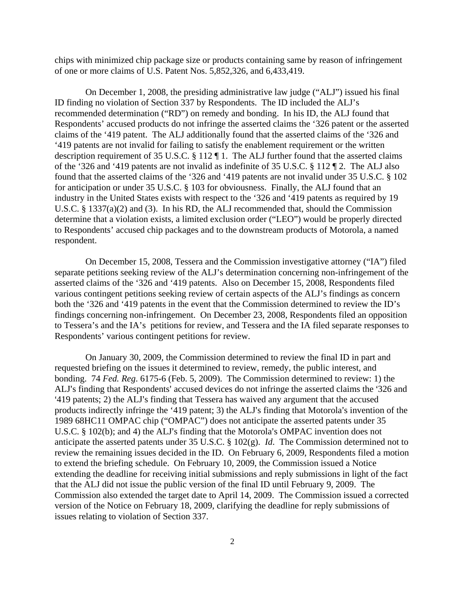chips with minimized chip package size or products containing same by reason of infringement of one or more claims of U.S. Patent Nos. 5,852,326, and 6,433,419.

On December 1, 2008, the presiding administrative law judge ("ALJ") issued his final ID finding no violation of Section 337 by Respondents. The ID included the ALJ's recommended determination ("RD") on remedy and bonding. In his ID, the ALJ found that Respondents' accused products do not infringe the asserted claims the '326 patent or the asserted claims of the '419 patent. The ALJ additionally found that the asserted claims of the '326 and '419 patents are not invalid for failing to satisfy the enablement requirement or the written description requirement of 35 U.S.C. § 112 ¶ 1. The ALJ further found that the asserted claims of the '326 and '419 patents are not invalid as indefinite of 35 U.S.C. § 112 ¶ 2. The ALJ also found that the asserted claims of the '326 and '419 patents are not invalid under 35 U.S.C. § 102 for anticipation or under 35 U.S.C. § 103 for obviousness. Finally, the ALJ found that an industry in the United States exists with respect to the '326 and '419 patents as required by 19 U.S.C. § 1337(a)(2) and (3). In his RD, the ALJ recommended that, should the Commission determine that a violation exists, a limited exclusion order ("LEO") would be properly directed to Respondents' accused chip packages and to the downstream products of Motorola, a named respondent.

On December 15, 2008, Tessera and the Commission investigative attorney ("IA") filed separate petitions seeking review of the ALJ's determination concerning non-infringement of the asserted claims of the '326 and '419 patents. Also on December 15, 2008, Respondents filed various contingent petitions seeking review of certain aspects of the ALJ's findings as concern both the '326 and '419 patents in the event that the Commission determined to review the ID's findings concerning non-infringement. On December 23, 2008, Respondents filed an opposition to Tessera's and the IA's petitions for review, and Tessera and the IA filed separate responses to Respondents' various contingent petitions for review.

On January 30, 2009, the Commission determined to review the final ID in part and requested briefing on the issues it determined to review, remedy, the public interest, and bonding. 74 *Fed. Reg*. 6175-6 (Feb. 5, 2009). The Commission determined to review: 1) the ALJ's finding that Respondents' accused devices do not infringe the asserted claims the '326 and 419 patents; 2) the ALJ's finding that Tessera has waived any argument that the accused products indirectly infringe the '419 patent; 3) the ALJ's finding that Motorola's invention of the 1989 68HC11 OMPAC chip ("OMPAC") does not anticipate the asserted patents under 35 U.S.C.  $\S$  102(b); and 4) the ALJ's finding that the Motorola's OMPAC invention does not anticipate the asserted patents under 35 U.S.C. § 102(g). *Id*. The Commission determined not to review the remaining issues decided in the ID. On February 6, 2009, Respondents filed a motion to extend the briefing schedule. On February 10, 2009, the Commission issued a Notice extending the deadline for receiving initial submissions and reply submissions in light of the fact that the ALJ did not issue the public version of the final ID until February 9, 2009. The Commission also extended the target date to April 14, 2009. The Commission issued a corrected version of the Notice on February 18, 2009, clarifying the deadline for reply submissions of issues relating to violation of Section 337.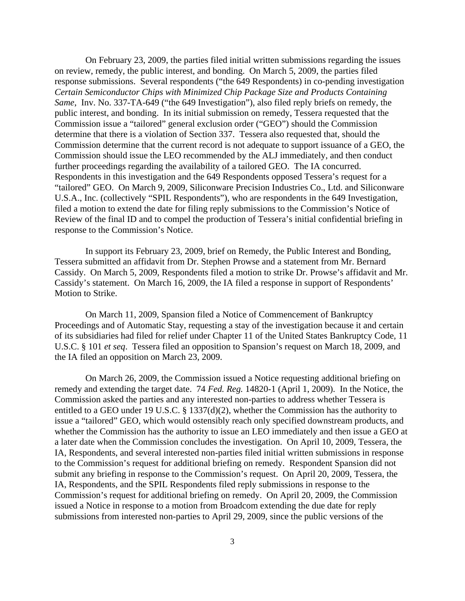On February 23, 2009, the parties filed initial written submissions regarding the issues on review, remedy, the public interest, and bonding. On March 5, 2009, the parties filed response submissions. Several respondents ("the 649 Respondents) in co-pending investigation *Certain Semiconductor Chips with Minimized Chip Package Size and Products Containing Same*, Inv. No. 337-TA-649 ("the 649 Investigation"), also filed reply briefs on remedy, the public interest, and bonding. In its initial submission on remedy, Tessera requested that the Commission issue a "tailored" general exclusion order ("GEO") should the Commission determine that there is a violation of Section 337. Tessera also requested that, should the Commission determine that the current record is not adequate to support issuance of a GEO, the Commission should issue the LEO recommended by the ALJ immediately, and then conduct further proceedings regarding the availability of a tailored GEO. The IA concurred. Respondents in this investigation and the 649 Respondents opposed Tessera's request for a "tailored" GEO. On March 9, 2009, Siliconware Precision Industries Co., Ltd. and Siliconware U.S.A., Inc. (collectively "SPIL Respondents"), who are respondents in the 649 Investigation, filed a motion to extend the date for filing reply submissions to the Commission's Notice of Review of the final ID and to compel the production of Tessera's initial confidential briefing in response to the Commission's Notice.

In support its February 23, 2009, brief on Remedy, the Public Interest and Bonding, Tessera submitted an affidavit from Dr. Stephen Prowse and a statement from Mr. Bernard Cassidy. On March 5, 2009, Respondents filed a motion to strike Dr. Prowse's affidavit and Mr. Cassidy's statement. On March 16, 2009, the IA filed a response in support of Respondents' Motion to Strike.

On March 11, 2009, Spansion filed a Notice of Commencement of Bankruptcy Proceedings and of Automatic Stay, requesting a stay of the investigation because it and certain of its subsidiaries had filed for relief under Chapter 11 of the United States Bankruptcy Code, 11 U.S.C. § 101 *et seq*. Tessera filed an opposition to Spansion's request on March 18, 2009, and the IA filed an opposition on March 23, 2009.

On March 26, 2009, the Commission issued a Notice requesting additional briefing on remedy and extending the target date. 74 *Fed. Reg.* 14820-1 (April 1, 2009). In the Notice, the Commission asked the parties and any interested non-parties to address whether Tessera is entitled to a GEO under 19 U.S.C. § 1337(d)(2), whether the Commission has the authority to issue a "tailored" GEO, which would ostensibly reach only specified downstream products, and whether the Commission has the authority to issue an LEO immediately and then issue a GEO at a later date when the Commission concludes the investigation. On April 10, 2009, Tessera, the IA, Respondents, and several interested non-parties filed initial written submissions in response to the Commission's request for additional briefing on remedy. Respondent Spansion did not submit any briefing in response to the Commission's request. On April 20, 2009, Tessera, the IA, Respondents, and the SPIL Respondents filed reply submissions in response to the Commission's request for additional briefing on remedy. On April 20, 2009, the Commission issued a Notice in response to a motion from Broadcom extending the due date for reply submissions from interested non-parties to April 29, 2009, since the public versions of the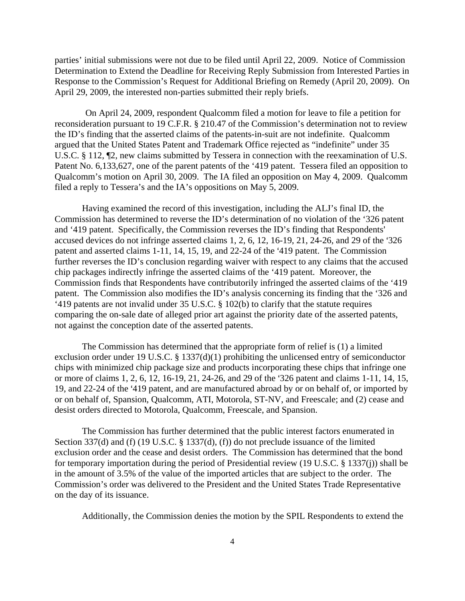parties' initial submissions were not due to be filed until April 22, 2009. Notice of Commission Determination to Extend the Deadline for Receiving Reply Submission from Interested Parties in Response to the Commission's Request for Additional Briefing on Remedy (April 20, 2009). On April 29, 2009, the interested non-parties submitted their reply briefs.

On April 24, 2009, respondent Qualcomm filed a motion for leave to file a petition for reconsideration pursuant to 19 C.F.R. § 210.47 of the Commission's determination not to review the ID's finding that the asserted claims of the patents-in-suit are not indefinite. Qualcomm argued that the United States Patent and Trademark Office rejected as "indefinite" under 35 U.S.C. § 112, ¶2, new claims submitted by Tessera in connection with the reexamination of U.S. Patent No. 6,133,627, one of the parent patents of the '419 patent. Tessera filed an opposition to Qualcomm's motion on April 30, 2009. The IA filed an opposition on May 4, 2009. Qualcomm filed a reply to Tessera's and the IA's oppositions on May 5, 2009.

Having examined the record of this investigation, including the ALJ's final ID, the Commission has determined to reverse the ID's determination of no violation of the '326 patent and '419 patent. Specifically, the Commission reverses the ID's finding that Respondents' accused devices do not infringe asserted claims  $1, 2, 6, 12, 16-19, 21, 24-26$ , and  $29$  of the  $326$ patent and asserted claims 1-11, 14, 15, 19, and 22-24 of the '419 patent. The Commission further reverses the ID's conclusion regarding waiver with respect to any claims that the accused chip packages indirectly infringe the asserted claims of the '419 patent. Moreover, the Commission finds that Respondents have contributorily infringed the asserted claims of the '419 patent. The Commission also modifies the ID's analysis concerning its finding that the '326 and '419 patents are not invalid under 35 U.S.C. § 102(b) to clarify that the statute requires comparing the on-sale date of alleged prior art against the priority date of the asserted patents, not against the conception date of the asserted patents.

The Commission has determined that the appropriate form of relief is (1) a limited exclusion order under 19 U.S.C. § 1337(d)(1) prohibiting the unlicensed entry of semiconductor chips with minimized chip package size and products incorporating these chips that infringe one or more of claims 1, 2, 6, 12, 16-19, 21, 24-26, and 29 of the '326 patent and claims 1-11, 14, 15, 19, and 22-24 of the '419 patent, and are manufactured abroad by or on behalf of, or imported by or on behalf of, Spansion, Qualcomm, ATI, Motorola, ST-NV, and Freescale; and (2) cease and desist orders directed to Motorola, Qualcomm, Freescale, and Spansion.

The Commission has further determined that the public interest factors enumerated in Section 337(d) and (f) (19 U.S.C. § 1337(d), (f)) do not preclude issuance of the limited exclusion order and the cease and desist orders. The Commission has determined that the bond for temporary importation during the period of Presidential review (19 U.S.C. § 1337(j)) shall be in the amount of 3.5% of the value of the imported articles that are subject to the order. The Commission's order was delivered to the President and the United States Trade Representative on the day of its issuance.

Additionally, the Commission denies the motion by the SPIL Respondents to extend the